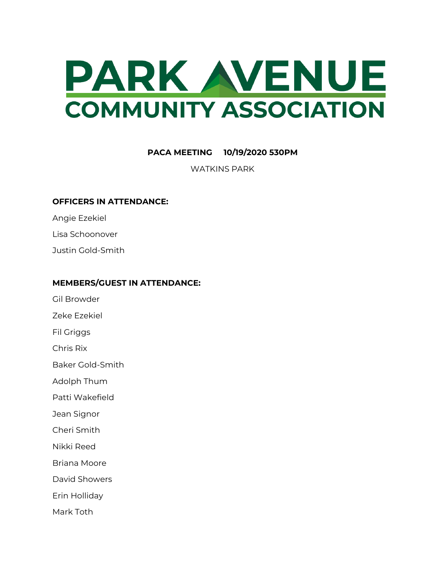

## **PACA MEETING 10/19/2020 530PM**

WATKINS PARK

## **OFFICERS IN ATTENDANCE:**

Angie Ezekiel

Lisa Schoonover

Justin Gold-Smith

## **MEMBERS/GUEST IN ATTENDANCE:**

Gil Browder

Zeke Ezekiel

Fil Griggs

Chris Rix

Baker Gold-Smith

Adolph Thum

Patti Wakefield

Jean Signor

Cheri Smith

Nikki Reed

Briana Moore

David Showers

Erin Holliday

Mark Toth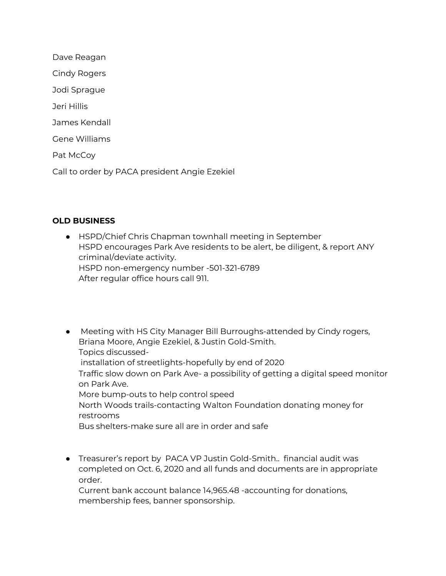Dave Reagan Cindy Rogers Jodi Sprague Jeri Hillis James Kendall Gene Williams Pat McCoy Call to order by PACA president Angie Ezekiel

## **OLD BUSINESS**

- HSPD/Chief Chris Chapman townhall meeting in September HSPD encourages Park Ave residents to be alert, be diligent, & report ANY criminal/deviate activity. HSPD non-emergency number -501-321-6789 After regular office hours call 911.
- Meeting with HS City Manager Bill Burroughs-attended by Cindy rogers, Briana Moore, Angie Ezekiel, & Justin Gold-Smith. Topics discussedinstallation of streetlights-hopefully by end of 2020 Traffic slow down on Park Ave- a possibility of getting a digital speed monitor on Park Ave. More bump-outs to help control speed North Woods trails-contacting Walton Foundation donating money for restrooms Bus shelters-make sure all are in order and safe
- Treasurer's report by PACA VP Justin Gold-Smith.. financial audit was completed on Oct. 6, 2020 and all funds and documents are in appropriate order.

Current bank account balance 14,965.48 -accounting for donations, membership fees, banner sponsorship.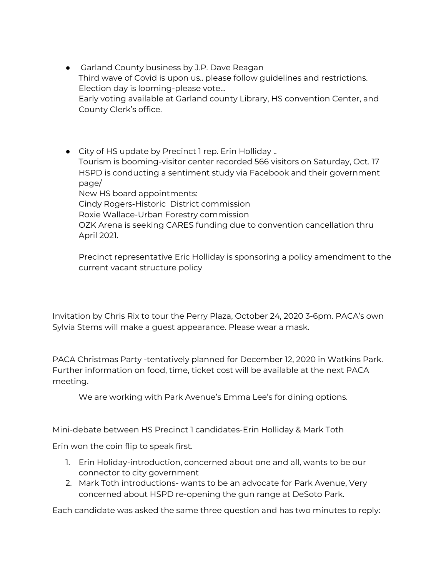- **●** Garland County business by J.P. Dave Reagan Third wave of Covid is upon us.. please follow guidelines and restrictions. Election day is looming-please vote… Early voting available at Garland county Library, HS convention Center, and County Clerk's office.
- City of HS update by Precinct 1 rep. Erin Holliday .. Tourism is booming-visitor center recorded 566 visitors on Saturday, Oct. 17 HSPD is conducting a sentiment study via Facebook and their government page/ New HS board appointments: Cindy Rogers-Historic District commission Roxie Wallace-Urban Forestry commission OZK Arena is seeking CARES funding due to convention cancellation thru April 2021.

Precinct representative Eric Holliday is sponsoring a policy amendment to the current vacant structure policy

Invitation by Chris Rix to tour the Perry Plaza, October 24, 2020 3-6pm. PACA's own Sylvia Stems will make a guest appearance. Please wear a mask.

PACA Christmas Party -tentatively planned for December 12, 2020 in Watkins Park. Further information on food, time, ticket cost will be available at the next PACA meeting.

We are working with Park Avenue's Emma Lee's for dining options.

Mini-debate between HS Precinct 1 candidates-Erin Holliday & Mark Toth

Erin won the coin flip to speak first.

- 1. Erin Holiday-introduction, concerned about one and all, wants to be our connector to city government
- 2. Mark Toth introductions- wants to be an advocate for Park Avenue, Very concerned about HSPD re-opening the gun range at DeSoto Park.

Each candidate was asked the same three question and has two minutes to reply: